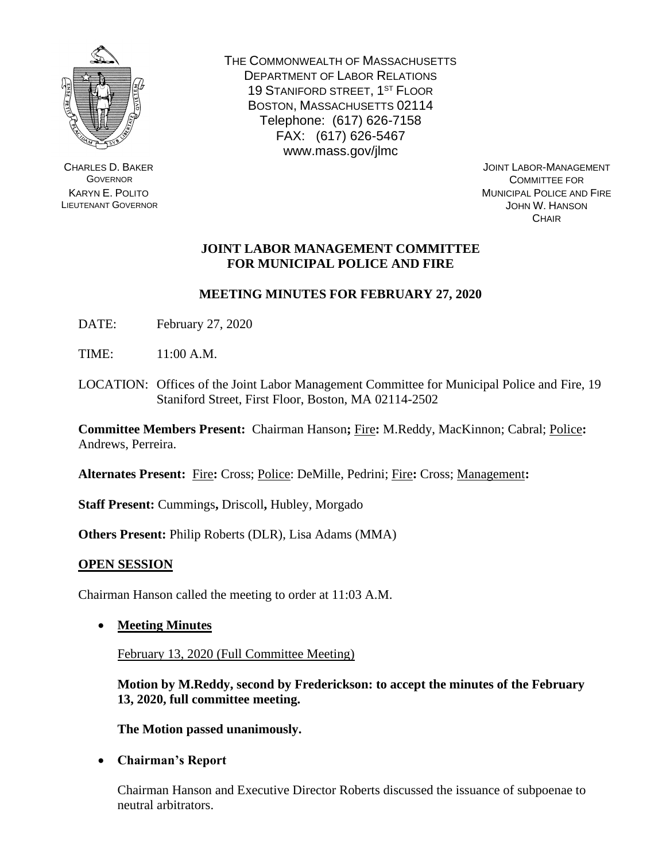

CHARLES D. BAKER **GOVERNOR** KARYN E. POLITO LIEUTENANT GOVERNOR THE COMMONWEALTH OF MASSACHUSETTS DEPARTMENT OF LABOR RELATIONS 19 STANIFORD STREET, 1ST FLOOR BOSTON, MASSACHUSETTS 02114 Telephone: (617) 626-7158 FAX: (617) 626-5467 www.mass.gov/jlmc

JOINT LABOR-MANAGEMENT COMMITTEE FOR MUNICIPAL POLICE AND FIRE JOHN W. HANSON **CHAIR** 

# **JOINT LABOR MANAGEMENT COMMITTEE FOR MUNICIPAL POLICE AND FIRE**

# **MEETING MINUTES FOR FEBRUARY 27, 2020**

DATE: February 27, 2020

TIME: 11:00 A.M.

LOCATION: Offices of the Joint Labor Management Committee for Municipal Police and Fire, 19 Staniford Street, First Floor, Boston, MA 02114-2502

**Committee Members Present:** Chairman Hanson**;** Fire**:** M.Reddy, MacKinnon; Cabral; Police**:**  Andrews, Perreira.

**Alternates Present:** Fire**:** Cross; Police: DeMille, Pedrini; Fire**:** Cross; Management**:** 

**Staff Present:** Cummings**,** Driscoll**,** Hubley, Morgado

**Others Present:** Philip Roberts (DLR), Lisa Adams (MMA)

## **OPEN SESSION**

Chairman Hanson called the meeting to order at 11:03 A.M.

• **Meeting Minutes**

February 13, 2020 (Full Committee Meeting)

**Motion by M.Reddy, second by Frederickson: to accept the minutes of the February 13, 2020, full committee meeting.**

**The Motion passed unanimously.**

• **Chairman's Report**

Chairman Hanson and Executive Director Roberts discussed the issuance of subpoenae to neutral arbitrators.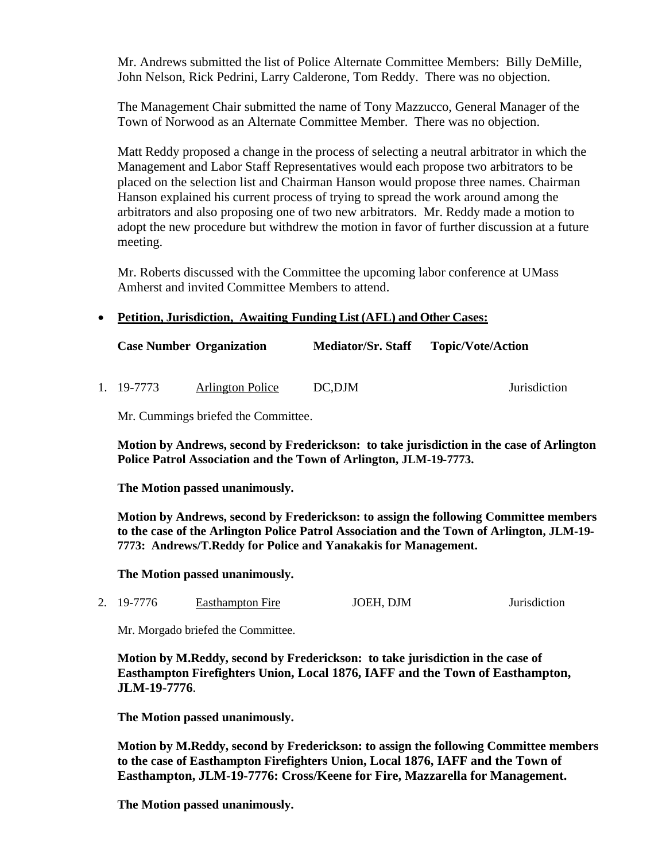Mr. Andrews submitted the list of Police Alternate Committee Members: Billy DeMille, John Nelson, Rick Pedrini, Larry Calderone, Tom Reddy. There was no objection.

The Management Chair submitted the name of Tony Mazzucco, General Manager of the Town of Norwood as an Alternate Committee Member. There was no objection.

Matt Reddy proposed a change in the process of selecting a neutral arbitrator in which the Management and Labor Staff Representatives would each propose two arbitrators to be placed on the selection list and Chairman Hanson would propose three names. Chairman Hanson explained his current process of trying to spread the work around among the arbitrators and also proposing one of two new arbitrators. Mr. Reddy made a motion to adopt the new procedure but withdrew the motion in favor of further discussion at a future meeting.

Mr. Roberts discussed with the Committee the upcoming labor conference at UMass Amherst and invited Committee Members to attend.

## • **Petition, Jurisdiction, Awaiting Funding List (AFL) and Other Cases:**

| <b>Case Number Organization</b> |                         | <b>Mediator/Sr. Staff</b> | <b>Topic/Vote/Action</b> |  |
|---------------------------------|-------------------------|---------------------------|--------------------------|--|
|                                 |                         |                           |                          |  |
| 1. 19-7773                      | <b>Arlington Police</b> | DC, DJM                   | Jurisdiction             |  |

Mr. Cummings briefed the Committee.

**Motion by Andrews, second by Frederickson: to take jurisdiction in the case of Arlington Police Patrol Association and the Town of Arlington, JLM-19-7773.**

**The Motion passed unanimously.**

**Motion by Andrews, second by Frederickson: to assign the following Committee members to the case of the Arlington Police Patrol Association and the Town of Arlington, JLM-19- 7773: Andrews/T.Reddy for Police and Yanakakis for Management.**

**The Motion passed unanimously.** 

2. 19-7776 Easthampton Fire JOEH, DJM Jurisdiction

Mr. Morgado briefed the Committee.

**Motion by M.Reddy, second by Frederickson: to take jurisdiction in the case of Easthampton Firefighters Union, Local 1876, IAFF and the Town of Easthampton, JLM-19-7776**.

**The Motion passed unanimously.**

**Motion by M.Reddy, second by Frederickson: to assign the following Committee members to the case of Easthampton Firefighters Union, Local 1876, IAFF and the Town of Easthampton, JLM-19-7776: Cross/Keene for Fire, Mazzarella for Management.**

**The Motion passed unanimously.**